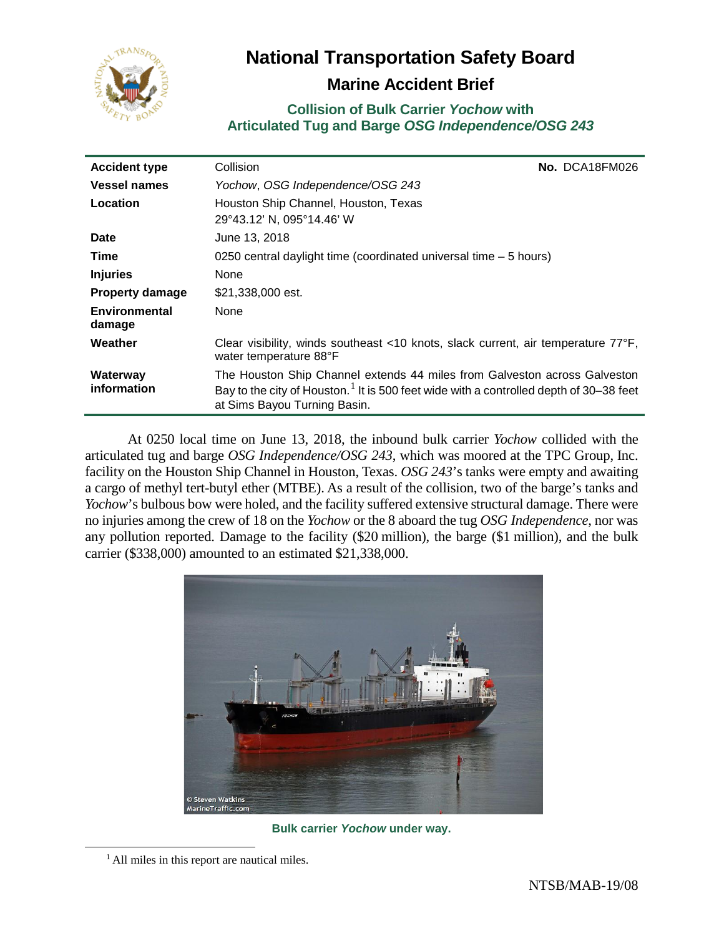

# **National Transportation Safety Board**

## **Marine Accident Brief**

### **Collision of Bulk Carrier** *Yochow* **with Articulated Tug and Barge** *OSG Independence/OSG 243*

| <b>Accident type</b>           | Collision                                                                                                                                                                                                       |  | No. DCA18FM026 |
|--------------------------------|-----------------------------------------------------------------------------------------------------------------------------------------------------------------------------------------------------------------|--|----------------|
| <b>Vessel names</b>            | Yochow, OSG Independence/OSG 243                                                                                                                                                                                |  |                |
| Location                       | Houston Ship Channel, Houston, Texas<br>29°43.12' N, 095°14.46' W                                                                                                                                               |  |                |
| <b>Date</b>                    | June 13, 2018                                                                                                                                                                                                   |  |                |
| Time                           | 0250 central daylight time (coordinated universal time – 5 hours)                                                                                                                                               |  |                |
| <b>Injuries</b>                | None                                                                                                                                                                                                            |  |                |
| <b>Property damage</b>         | \$21,338,000 est.                                                                                                                                                                                               |  |                |
| <b>Environmental</b><br>damage | None                                                                                                                                                                                                            |  |                |
| Weather                        | Clear visibility, winds southeast <10 knots, slack current, air temperature 77°F,<br>water temperature 88°F                                                                                                     |  |                |
| Waterway<br>information        | The Houston Ship Channel extends 44 miles from Galveston across Galveston<br>Bay to the city of Houston. <sup>1</sup> It is 500 feet wide with a controlled depth of 30–38 feet<br>at Sims Bayou Turning Basin. |  |                |

At 0250 local time on June 13, 2018, the inbound bulk carrier *Yochow* collided with the articulated tug and barge *OSG Independence/OSG 243*, which was moored at the TPC Group, Inc. facility on the Houston Ship Channel in Houston, Texas. *OSG 243*'s tanks were empty and awaiting a cargo of methyl tert-butyl ether (MTBE). As a result of the collision, two of the barge's tanks and *Yochow*'s bulbous bow were holed, and the facility suffered extensive structural damage. There were no injuries among the crew of 18 on the *Yochow* or the 8 aboard the tug *OSG Independence*, nor was any pollution reported. Damage to the facility (\$20 million), the barge (\$1 million), and the bulk carrier (\$338,000) amounted to an estimated \$21,338,000.



**Bulk carrier** *Yochow* **under way.**

<span id="page-0-0"></span><sup>&</sup>lt;sup>1</sup> All miles in this report are nautical miles.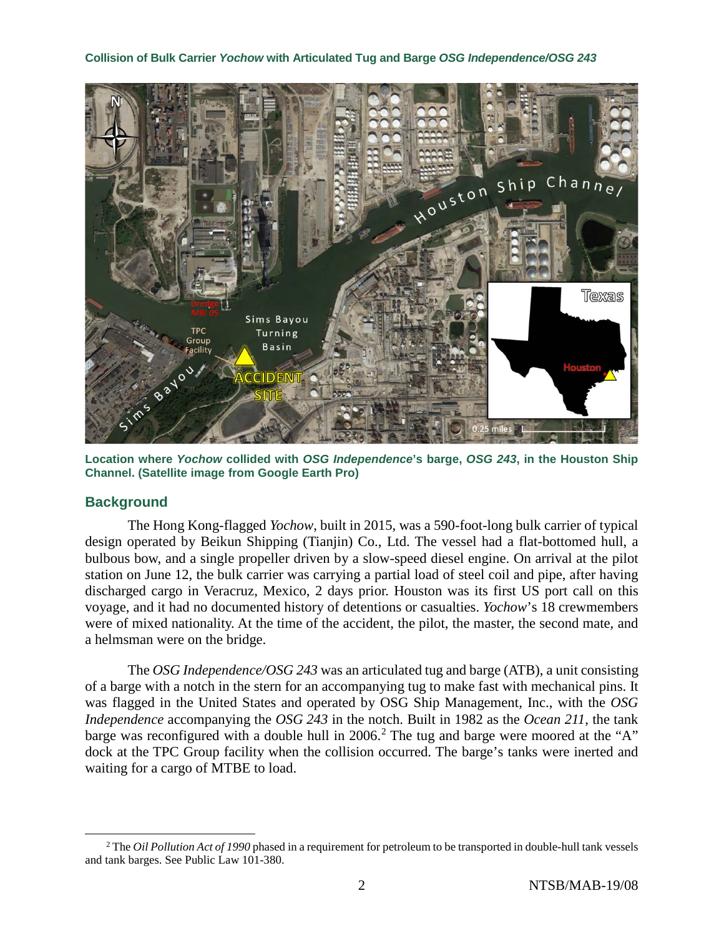

**Location where** *Yochow* **collided with** *OSG Independence***'s barge,** *OSG 243***, in the Houston Ship Channel. (Satellite image from Google Earth Pro)**

### **Background**

The Hong Kong-flagged *Yochow*, built in 2015, was a 590-foot-long bulk carrier of typical design operated by Beikun Shipping (Tianjin) Co., Ltd. The vessel had a flat-bottomed hull, a bulbous bow, and a single propeller driven by a slow-speed diesel engine. On arrival at the pilot station on June 12, the bulk carrier was carrying a partial load of steel coil and pipe, after having discharged cargo in Veracruz, Mexico, 2 days prior. Houston was its first US port call on this voyage, and it had no documented history of detentions or casualties. *Yochow*'s 18 crewmembers were of mixed nationality. At the time of the accident, the pilot, the master, the second mate, and a helmsman were on the bridge.

The *OSG Independence/OSG 243* was an articulated tug and barge (ATB), a unit consisting of a barge with a notch in the stern for an accompanying tug to make fast with mechanical pins. It was flagged in the United States and operated by OSG Ship Management, Inc., with the *OSG Independence* accompanying the *OSG 243* in the notch. Built in 1982 as the *Ocean 211*, the tank barge was reconfigured with a double hull in [2](#page-1-0)006.<sup>2</sup> The tug and barge were moored at the "A" dock at the TPC Group facility when the collision occurred. The barge's tanks were inerted and waiting for a cargo of MTBE to load.

<span id="page-1-0"></span> <sup>2</sup> The *Oil Pollution Act of 1990* phased in a requirement for petroleum to be transported in double-hull tank vessels and tank barges. See Public Law 101-380.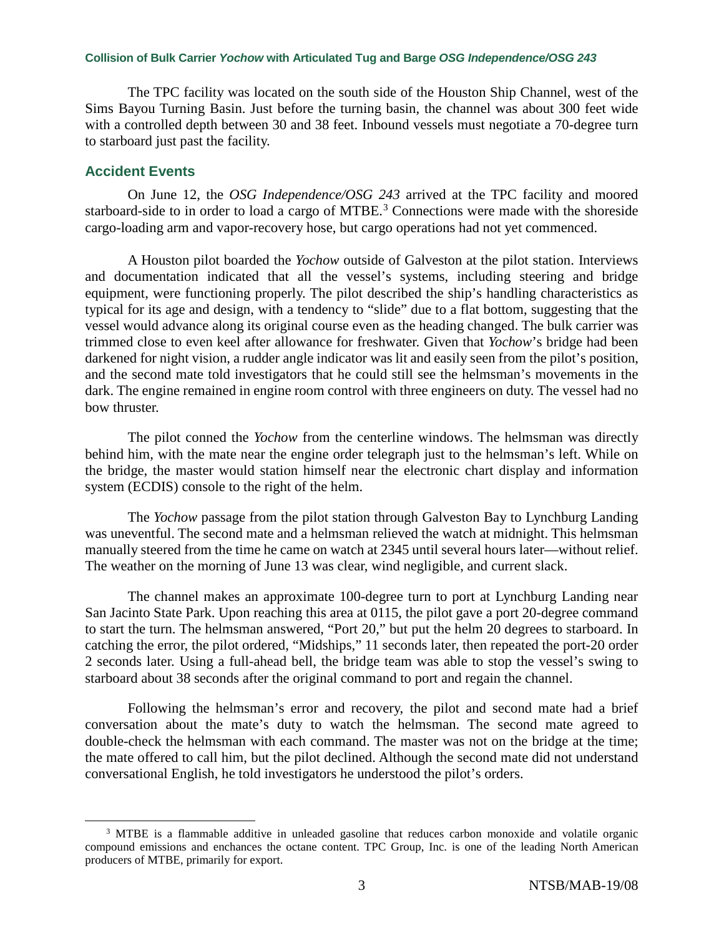The TPC facility was located on the south side of the Houston Ship Channel, west of the Sims Bayou Turning Basin. Just before the turning basin, the channel was about 300 feet wide with a controlled depth between 30 and 38 feet. Inbound vessels must negotiate a 70-degree turn to starboard just past the facility.

### **Accident Events**

On June 12, the *OSG Independence/OSG 243* arrived at the TPC facility and moored starboard-side to in order to load a cargo of MTBE.<sup>[3](#page-2-0)</sup> Connections were made with the shoreside cargo-loading arm and vapor-recovery hose, but cargo operations had not yet commenced.

A Houston pilot boarded the *Yochow* outside of Galveston at the pilot station. Interviews and documentation indicated that all the vessel's systems, including steering and bridge equipment, were functioning properly. The pilot described the ship's handling characteristics as typical for its age and design, with a tendency to "slide" due to a flat bottom, suggesting that the vessel would advance along its original course even as the heading changed. The bulk carrier was trimmed close to even keel after allowance for freshwater. Given that *Yochow*'s bridge had been darkened for night vision, a rudder angle indicator was lit and easily seen from the pilot's position, and the second mate told investigators that he could still see the helmsman's movements in the dark. The engine remained in engine room control with three engineers on duty. The vessel had no bow thruster.

The pilot conned the *Yochow* from the centerline windows. The helmsman was directly behind him, with the mate near the engine order telegraph just to the helmsman's left. While on the bridge, the master would station himself near the electronic chart display and information system (ECDIS) console to the right of the helm.

The *Yochow* passage from the pilot station through Galveston Bay to Lynchburg Landing was uneventful. The second mate and a helmsman relieved the watch at midnight. This helmsman manually steered from the time he came on watch at 2345 until several hours later—without relief. The weather on the morning of June 13 was clear, wind negligible, and current slack.

The channel makes an approximate 100-degree turn to port at Lynchburg Landing near San Jacinto State Park. Upon reaching this area at 0115, the pilot gave a port 20-degree command to start the turn. The helmsman answered, "Port 20," but put the helm 20 degrees to starboard. In catching the error, the pilot ordered, "Midships," 11 seconds later, then repeated the port-20 order 2 seconds later. Using a full-ahead bell, the bridge team was able to stop the vessel's swing to starboard about 38 seconds after the original command to port and regain the channel.

Following the helmsman's error and recovery, the pilot and second mate had a brief conversation about the mate's duty to watch the helmsman. The second mate agreed to double-check the helmsman with each command. The master was not on the bridge at the time; the mate offered to call him, but the pilot declined. Although the second mate did not understand conversational English, he told investigators he understood the pilot's orders.

<span id="page-2-0"></span><sup>&</sup>lt;sup>3</sup> MTBE is a flammable additive in unleaded gasoline that reduces carbon monoxide and volatile organic compound emissions and enchances the octane content. TPC Group, Inc. is one of the leading North American producers of MTBE, primarily for export.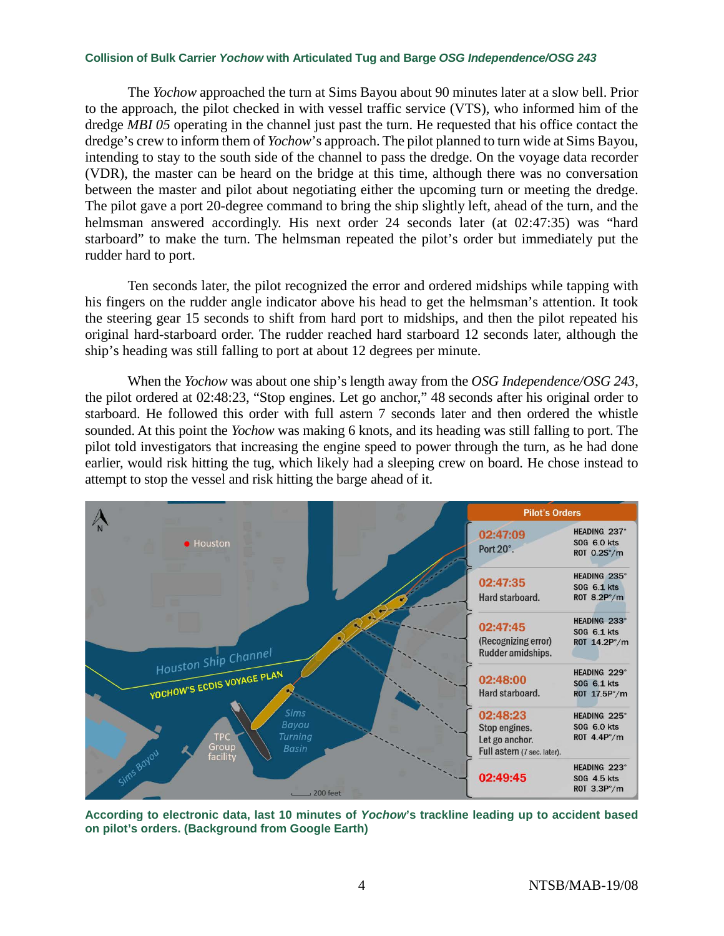The *Yochow* approached the turn at Sims Bayou about 90 minutes later at a slow bell. Prior to the approach, the pilot checked in with vessel traffic service (VTS), who informed him of the dredge *MBI 05* operating in the channel just past the turn. He requested that his office contact the dredge's crew to inform them of *Yochow*'s approach. The pilot planned to turn wide at Sims Bayou, intending to stay to the south side of the channel to pass the dredge. On the voyage data recorder (VDR), the master can be heard on the bridge at this time, although there was no conversation between the master and pilot about negotiating either the upcoming turn or meeting the dredge. The pilot gave a port 20-degree command to bring the ship slightly left, ahead of the turn, and the helmsman answered accordingly. His next order 24 seconds later (at 02:47:35) was "hard starboard" to make the turn. The helmsman repeated the pilot's order but immediately put the rudder hard to port.

Ten seconds later, the pilot recognized the error and ordered midships while tapping with his fingers on the rudder angle indicator above his head to get the helmsman's attention. It took the steering gear 15 seconds to shift from hard port to midships, and then the pilot repeated his original hard-starboard order. The rudder reached hard starboard 12 seconds later, although the ship's heading was still falling to port at about 12 degrees per minute.

When the *Yochow* was about one ship's length away from the *OSG Independence/OSG 243*, the pilot ordered at 02:48:23, "Stop engines. Let go anchor," 48 seconds after his original order to starboard. He followed this order with full astern 7 seconds later and then ordered the whistle sounded. At this point the *Yochow* was making 6 knots, and its heading was still falling to port. The pilot told investigators that increasing the engine speed to power through the turn, as he had done earlier, would risk hitting the tug, which likely had a sleeping crew on board. He chose instead to attempt to stop the vessel and risk hitting the barge ahead of it.



**According to electronic data, last 10 minutes of** *Yochow***'s trackline leading up to accident based on pilot's orders. (Background from Google Earth)**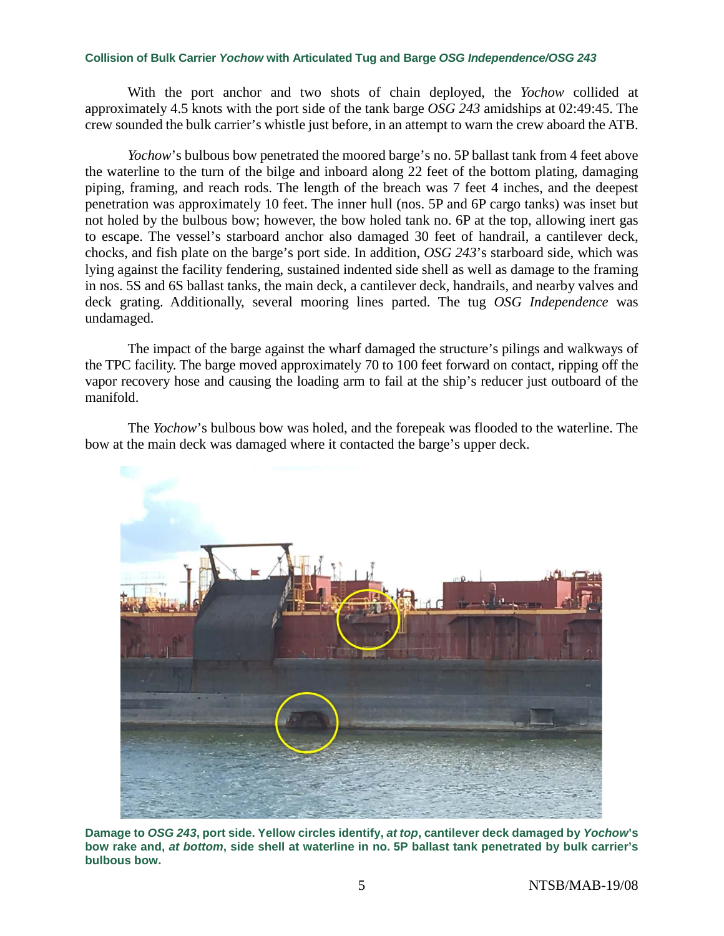With the port anchor and two shots of chain deployed, the *Yochow* collided at approximately 4.5 knots with the port side of the tank barge *OSG 243* amidships at 02:49:45. The crew sounded the bulk carrier's whistle just before, in an attempt to warn the crew aboard the ATB.

*Yochow*'s bulbous bow penetrated the moored barge's no. 5P ballast tank from 4 feet above the waterline to the turn of the bilge and inboard along 22 feet of the bottom plating, damaging piping, framing, and reach rods. The length of the breach was 7 feet 4 inches, and the deepest penetration was approximately 10 feet. The inner hull (nos. 5P and 6P cargo tanks) was inset but not holed by the bulbous bow; however, the bow holed tank no. 6P at the top, allowing inert gas to escape. The vessel's starboard anchor also damaged 30 feet of handrail, a cantilever deck, chocks, and fish plate on the barge's port side. In addition, *OSG 243*'s starboard side, which was lying against the facility fendering, sustained indented side shell as well as damage to the framing in nos. 5S and 6S ballast tanks, the main deck, a cantilever deck, handrails, and nearby valves and deck grating. Additionally, several mooring lines parted. The tug *OSG Independence* was undamaged.

The impact of the barge against the wharf damaged the structure's pilings and walkways of the TPC facility. The barge moved approximately 70 to 100 feet forward on contact, ripping off the vapor recovery hose and causing the loading arm to fail at the ship's reducer just outboard of the manifold.

The *Yochow*'s bulbous bow was holed, and the forepeak was flooded to the waterline. The bow at the main deck was damaged where it contacted the barge's upper deck.



**Damage to** *OSG 243***, port side. Yellow circles identify,** *at top***, cantilever deck damaged by** *Yochow***'s bow rake and,** *at bottom***, side shell at waterline in no. 5P ballast tank penetrated by bulk carrier's bulbous bow.**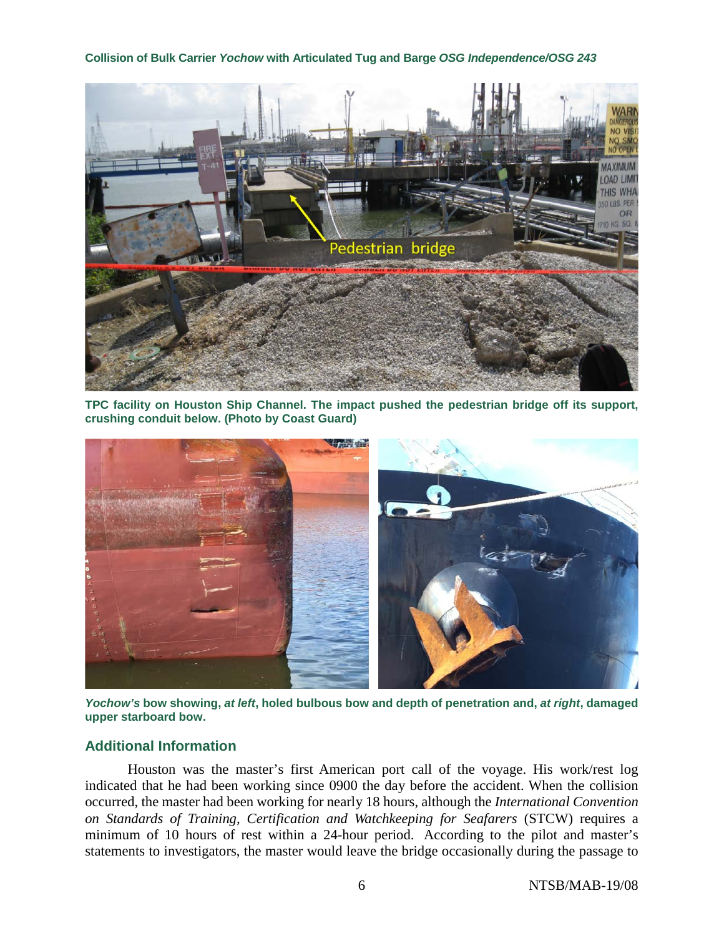

**TPC facility on Houston Ship Channel. The impact pushed the pedestrian bridge off its support, crushing conduit below. (Photo by Coast Guard)**



*Yochow's* **bow showing,** *at left***, holed bulbous bow and depth of penetration and,** *at right***, damaged upper starboard bow.** 

### **Additional Information**

Houston was the master's first American port call of the voyage. His work/rest log indicated that he had been working since 0900 the day before the accident. When the collision occurred, the master had been working for nearly 18 hours, although the *International Convention on Standards of Training, Certification and Watchkeeping for Seafarers* (STCW) requires a minimum of 10 hours of rest within a 24-hour period. According to the pilot and master's statements to investigators, the master would leave the bridge occasionally during the passage to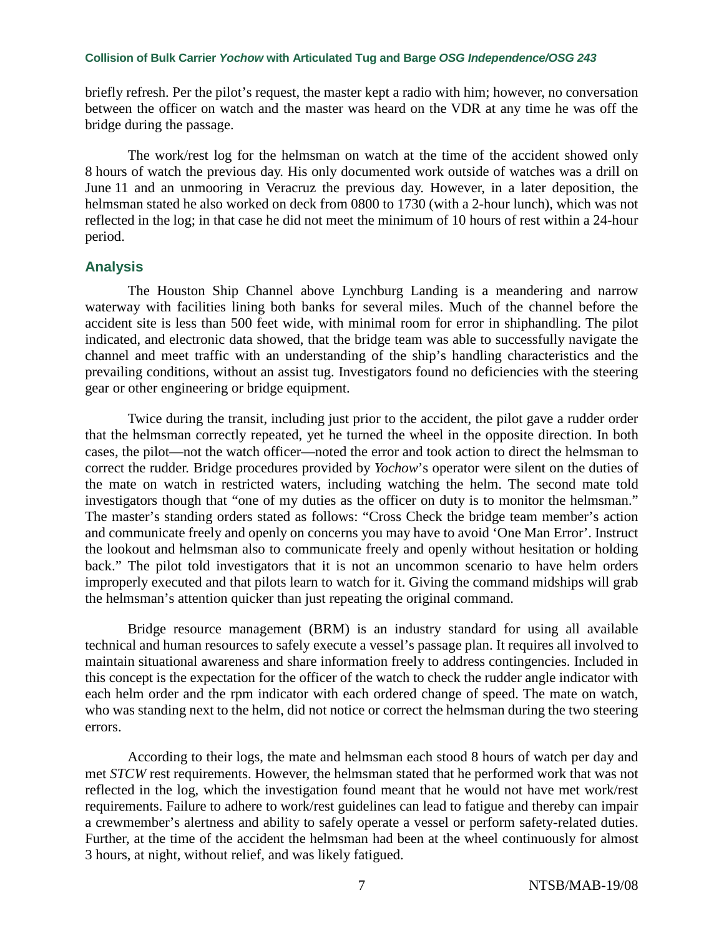briefly refresh. Per the pilot's request, the master kept a radio with him; however, no conversation between the officer on watch and the master was heard on the VDR at any time he was off the bridge during the passage.

The work/rest log for the helmsman on watch at the time of the accident showed only 8 hours of watch the previous day. His only documented work outside of watches was a drill on June 11 and an unmooring in Veracruz the previous day. However, in a later deposition, the helmsman stated he also worked on deck from 0800 to 1730 (with a 2-hour lunch), which was not reflected in the log; in that case he did not meet the minimum of 10 hours of rest within a 24-hour period.

### **Analysis**

The Houston Ship Channel above Lynchburg Landing is a meandering and narrow waterway with facilities lining both banks for several miles. Much of the channel before the accident site is less than 500 feet wide, with minimal room for error in shiphandling. The pilot indicated, and electronic data showed, that the bridge team was able to successfully navigate the channel and meet traffic with an understanding of the ship's handling characteristics and the prevailing conditions, without an assist tug. Investigators found no deficiencies with the steering gear or other engineering or bridge equipment.

Twice during the transit, including just prior to the accident, the pilot gave a rudder order that the helmsman correctly repeated, yet he turned the wheel in the opposite direction. In both cases, the pilot—not the watch officer—noted the error and took action to direct the helmsman to correct the rudder. Bridge procedures provided by *Yochow*'s operator were silent on the duties of the mate on watch in restricted waters, including watching the helm. The second mate told investigators though that "one of my duties as the officer on duty is to monitor the helmsman." The master's standing orders stated as follows: "Cross Check the bridge team member's action and communicate freely and openly on concerns you may have to avoid 'One Man Error'. Instruct the lookout and helmsman also to communicate freely and openly without hesitation or holding back." The pilot told investigators that it is not an uncommon scenario to have helm orders improperly executed and that pilots learn to watch for it. Giving the command midships will grab the helmsman's attention quicker than just repeating the original command.

Bridge resource management (BRM) is an industry standard for using all available technical and human resources to safely execute a vessel's passage plan. It requires all involved to maintain situational awareness and share information freely to address contingencies. Included in this concept is the expectation for the officer of the watch to check the rudder angle indicator with each helm order and the rpm indicator with each ordered change of speed. The mate on watch, who was standing next to the helm, did not notice or correct the helmsman during the two steering errors.

According to their logs, the mate and helmsman each stood 8 hours of watch per day and met *STCW* rest requirements. However, the helmsman stated that he performed work that was not reflected in the log, which the investigation found meant that he would not have met work/rest requirements. Failure to adhere to work/rest guidelines can lead to fatigue and thereby can impair a crewmember's alertness and ability to safely operate a vessel or perform safety-related duties. Further, at the time of the accident the helmsman had been at the wheel continuously for almost 3 hours, at night, without relief, and was likely fatigued.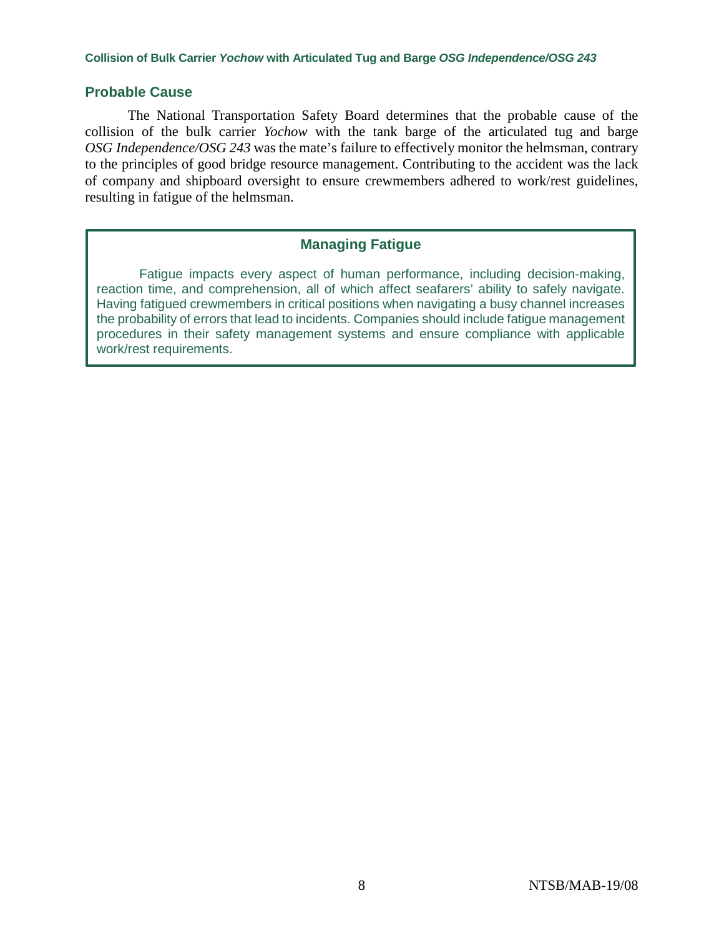### **Probable Cause**

The National Transportation Safety Board determines that the probable cause of the collision of the bulk carrier *Yochow* with the tank barge of the articulated tug and barge *OSG Independence/OSG 243* was the mate's failure to effectively monitor the helmsman, contrary to the principles of good bridge resource management. Contributing to the accident was the lack of company and shipboard oversight to ensure crewmembers adhered to work/rest guidelines, resulting in fatigue of the helmsman.

### **Managing Fatigue**

Fatigue impacts every aspect of human performance, including decision-making, reaction time, and comprehension, all of which affect seafarers' ability to safely navigate. Having fatigued crewmembers in critical positions when navigating a busy channel increases the probability of errors that lead to incidents. Companies should include fatigue management procedures in their safety management systems and ensure compliance with applicable work/rest requirements.